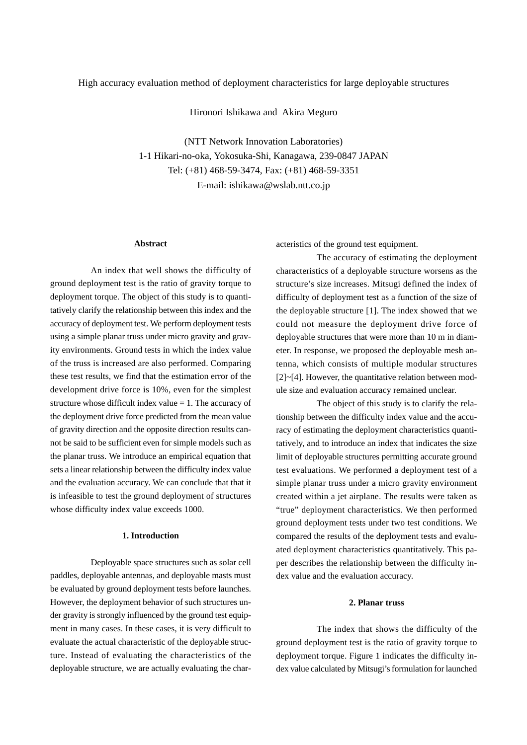# High accuracy evaluation method of deployment characteristics for large deployable structures

Hironori Ishikawa and Akira Meguro

(NTT Network Innovation Laboratories) 1-1 Hikari-no-oka, Yokosuka-Shi, Kanagawa, 239-0847 JAPAN Tel: (+81) 468-59-3474, Fax: (+81) 468-59-3351 E-mail: ishikawa@wslab.ntt.co.jp

## **Abstract**

An index that well shows the difficulty of ground deployment test is the ratio of gravity torque to deployment torque. The object of this study is to quantitatively clarify the relationship between this index and the accuracy of deployment test. We perform deployment tests using a simple planar truss under micro gravity and gravity environments. Ground tests in which the index value of the truss is increased are also performed. Comparing these test results, we find that the estimation error of the development drive force is 10%, even for the simplest structure whose difficult index value  $= 1$ . The accuracy of the deployment drive force predicted from the mean value of gravity direction and the opposite direction results cannot be said to be sufficient even for simple models such as the planar truss. We introduce an empirical equation that sets a linear relationship between the difficulty index value and the evaluation accuracy. We can conclude that that it is infeasible to test the ground deployment of structures whose difficulty index value exceeds 1000.

#### **1. Introduction**

Deployable space structures such as solar cell paddles, deployable antennas, and deployable masts must be evaluated by ground deployment tests before launches. However, the deployment behavior of such structures under gravity is strongly influenced by the ground test equipment in many cases. In these cases, it is very difficult to evaluate the actual characteristic of the deployable structure. Instead of evaluating the characteristics of the deployable structure, we are actually evaluating the characteristics of the ground test equipment.

The accuracy of estimating the deployment characteristics of a deployable structure worsens as the structure's size increases. Mitsugi defined the index of difficulty of deployment test as a function of the size of the deployable structure [1]. The index showed that we could not measure the deployment drive force of deployable structures that were more than 10 m in diameter. In response, we proposed the deployable mesh antenna, which consists of multiple modular structures [2]~[4]. However, the quantitative relation between module size and evaluation accuracy remained unclear.

The object of this study is to clarify the relationship between the difficulty index value and the accuracy of estimating the deployment characteristics quantitatively, and to introduce an index that indicates the size limit of deployable structures permitting accurate ground test evaluations. We performed a deployment test of a simple planar truss under a micro gravity environment created within a jet airplane. The results were taken as "true" deployment characteristics. We then performed ground deployment tests under two test conditions. We compared the results of the deployment tests and evaluated deployment characteristics quantitatively. This paper describes the relationship between the difficulty index value and the evaluation accuracy.

### **2. Planar truss**

The index that shows the difficulty of the ground deployment test is the ratio of gravity torque to deployment torque. Figure 1 indicates the difficulty index value calculated by Mitsugi's formulation for launched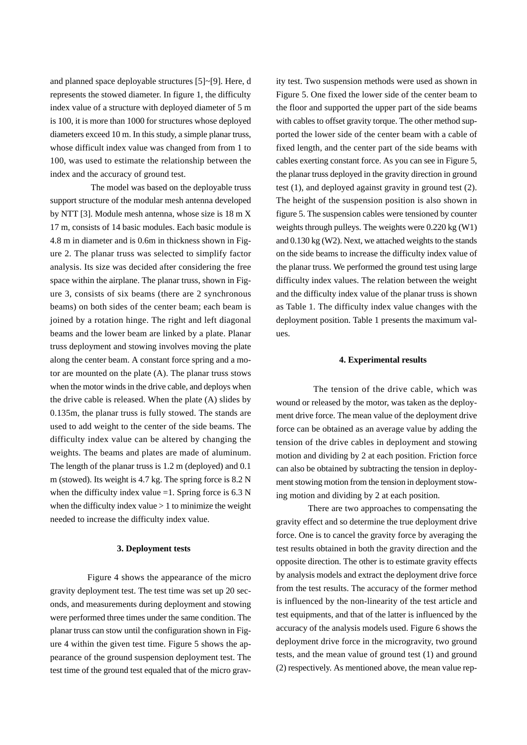and planned space deployable structures [5]~[9]. Here, d represents the stowed diameter. In figure 1, the difficulty index value of a structure with deployed diameter of 5 m is 100, it is more than 1000 for structures whose deployed diameters exceed 10 m. In this study, a simple planar truss, whose difficult index value was changed from from 1 to 100, was used to estimate the relationship between the index and the accuracy of ground test.

The model was based on the deployable truss support structure of the modular mesh antenna developed by NTT [3]. Module mesh antenna, whose size is 18 m X 17 m, consists of 14 basic modules. Each basic module is 4.8 m in diameter and is 0.6m in thickness shown in Figure 2. The planar truss was selected to simplify factor analysis. Its size was decided after considering the free space within the airplane. The planar truss, shown in Figure 3, consists of six beams (there are 2 synchronous beams) on both sides of the center beam; each beam is joined by a rotation hinge. The right and left diagonal beams and the lower beam are linked by a plate. Planar truss deployment and stowing involves moving the plate along the center beam. A constant force spring and a motor are mounted on the plate (A). The planar truss stows when the motor winds in the drive cable, and deploys when the drive cable is released. When the plate (A) slides by 0.135m, the planar truss is fully stowed. The stands are used to add weight to the center of the side beams. The difficulty index value can be altered by changing the weights. The beams and plates are made of aluminum. The length of the planar truss is 1.2 m (deployed) and 0.1 m (stowed). Its weight is 4.7 kg. The spring force is 8.2 N when the difficulty index value  $=1$ . Spring force is 6.3 N when the difficulty index value  $> 1$  to minimize the weight needed to increase the difficulty index value.

#### **3. Deployment tests**

Figure 4 shows the appearance of the micro gravity deployment test. The test time was set up 20 seconds, and measurements during deployment and stowing were performed three times under the same condition. The planar truss can stow until the configuration shown in Figure 4 within the given test time. Figure 5 shows the appearance of the ground suspension deployment test. The test time of the ground test equaled that of the micro gravity test. Two suspension methods were used as shown in Figure 5. One fixed the lower side of the center beam to the floor and supported the upper part of the side beams with cables to offset gravity torque. The other method supported the lower side of the center beam with a cable of fixed length, and the center part of the side beams with cables exerting constant force. As you can see in Figure 5, the planar truss deployed in the gravity direction in ground test (1), and deployed against gravity in ground test (2). The height of the suspension position is also shown in figure 5. The suspension cables were tensioned by counter weights through pulleys. The weights were 0.220 kg (W1) and 0.130 kg (W2). Next, we attached weights to the stands on the side beams to increase the difficulty index value of the planar truss. We performed the ground test using large difficulty index values. The relation between the weight and the difficulty index value of the planar truss is shown as Table 1. The difficulty index value changes with the deployment position. Table 1 presents the maximum values.

#### **4. Experimental results**

The tension of the drive cable, which was wound or released by the motor, was taken as the deployment drive force. The mean value of the deployment drive force can be obtained as an average value by adding the tension of the drive cables in deployment and stowing motion and dividing by 2 at each position. Friction force can also be obtained by subtracting the tension in deployment stowing motion from the tension in deployment stowing motion and dividing by 2 at each position.

There are two approaches to compensating the gravity effect and so determine the true deployment drive force. One is to cancel the gravity force by averaging the test results obtained in both the gravity direction and the opposite direction. The other is to estimate gravity effects by analysis models and extract the deployment drive force from the test results. The accuracy of the former method is influenced by the non-linearity of the test article and test equipments, and that of the latter is influenced by the accuracy of the analysis models used. Figure 6 shows the deployment drive force in the microgravity, two ground tests, and the mean value of ground test (1) and ground (2) respectively. As mentioned above, the mean value rep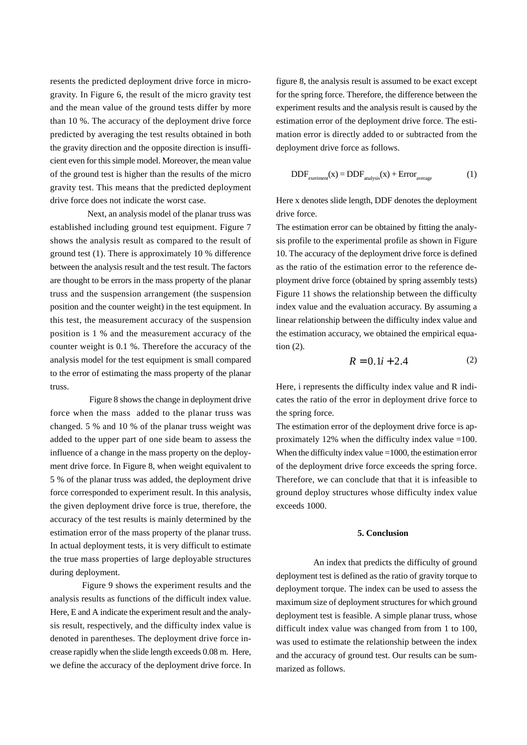resents the predicted deployment drive force in microgravity. In Figure 6, the result of the micro gravity test and the mean value of the ground tests differ by more than 10 %. The accuracy of the deployment drive force predicted by averaging the test results obtained in both the gravity direction and the opposite direction is insufficient even for this simple model. Moreover, the mean value of the ground test is higher than the results of the micro gravity test. This means that the predicted deployment drive force does not indicate the worst case.

Next, an analysis model of the planar truss was established including ground test equipment. Figure 7 shows the analysis result as compared to the result of ground test (1). There is approximately 10 % difference between the analysis result and the test result. The factors are thought to be errors in the mass property of the planar truss and the suspension arrangement (the suspension position and the counter weight) in the test equipment. In this test, the measurement accuracy of the suspension position is 1 % and the measurement accuracy of the counter weight is 0.1 %. Therefore the accuracy of the analysis model for the test equipment is small compared to the error of estimating the mass property of the planar truss.

Figure 8 shows the change in deployment drive force when the mass added to the planar truss was changed. 5 % and 10 % of the planar truss weight was added to the upper part of one side beam to assess the influence of a change in the mass property on the deployment drive force. In Figure 8, when weight equivalent to 5 % of the planar truss was added, the deployment drive force corresponded to experiment result. In this analysis, the given deployment drive force is true, therefore, the accuracy of the test results is mainly determined by the estimation error of the mass property of the planar truss. In actual deployment tests, it is very difficult to estimate the true mass properties of large deployable structures during deployment.

Figure 9 shows the experiment results and the analysis results as functions of the difficult index value. Here, E and A indicate the experiment result and the analysis result, respectively, and the difficulty index value is denoted in parentheses. The deployment drive force increase rapidly when the slide length exceeds 0.08 m. Here, we define the accuracy of the deployment drive force. In figure 8, the analysis result is assumed to be exact except for the spring force. Therefore, the difference between the experiment results and the analysis result is caused by the estimation error of the deployment drive force. The estimation error is directly added to or subtracted from the deployment drive force as follows.

$$
DDF_{\text{experiment}}(x) = DDF_{\text{analysis}}(x) + Error_{\text{average}} \tag{1}
$$

Here x denotes slide length, DDF denotes the deployment drive force.

The estimation error can be obtained by fitting the analysis profile to the experimental profile as shown in Figure 10. The accuracy of the deployment drive force is defined as the ratio of the estimation error to the reference deployment drive force (obtained by spring assembly tests) Figure 11 shows the relationship between the difficulty index value and the evaluation accuracy. By assuming a linear relationship between the difficulty index value and the estimation accuracy, we obtained the empirical equation (2).

$$
R = 0.1i + 2.4
$$
 (2)

Here, i represents the difficulty index value and R indicates the ratio of the error in deployment drive force to the spring force.

The estimation error of the deployment drive force is approximately 12% when the difficulty index value =100. When the difficulty index value =1000, the estimation error of the deployment drive force exceeds the spring force. Therefore, we can conclude that that it is infeasible to ground deploy structures whose difficulty index value exceeds 1000.

#### **5. Conclusion**

An index that predicts the difficulty of ground deployment test is defined as the ratio of gravity torque to deployment torque. The index can be used to assess the maximum size of deployment structures for which ground deployment test is feasible. A simple planar truss, whose difficult index value was changed from from 1 to 100, was used to estimate the relationship between the index and the accuracy of ground test. Our results can be summarized as follows.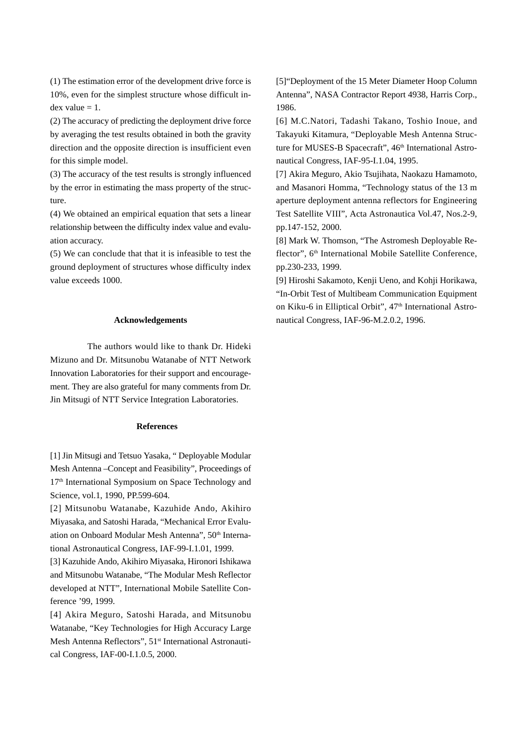(1) The estimation error of the development drive force is 10%, even for the simplest structure whose difficult in $dex$  value = 1.

(2) The accuracy of predicting the deployment drive force by averaging the test results obtained in both the gravity direction and the opposite direction is insufficient even for this simple model.

(3) The accuracy of the test results is strongly influenced by the error in estimating the mass property of the structure.

(4) We obtained an empirical equation that sets a linear relationship between the difficulty index value and evaluation accuracy.

(5) We can conclude that that it is infeasible to test the ground deployment of structures whose difficulty index value exceeds 1000.

### **Acknowledgements**

The authors would like to thank Dr. Hideki Mizuno and Dr. Mitsunobu Watanabe of NTT Network Innovation Laboratories for their support and encouragement. They are also grateful for many comments from Dr. Jin Mitsugi of NTT Service Integration Laboratories.

#### **References**

[1] Jin Mitsugi and Tetsuo Yasaka, " Deployable Modular Mesh Antenna –Concept and Feasibility", Proceedings of 17<sup>th</sup> International Symposium on Space Technology and Science, vol.1, 1990, PP.599-604.

[2] Mitsunobu Watanabe, Kazuhide Ando, Akihiro Miyasaka, and Satoshi Harada, "Mechanical Error Evaluation on Onboard Modular Mesh Antenna", 50th International Astronautical Congress, IAF-99-I.1.01, 1999.

[3] Kazuhide Ando, Akihiro Miyasaka, Hironori Ishikawa and Mitsunobu Watanabe, "The Modular Mesh Reflector developed at NTT", International Mobile Satellite Conference '99, 1999.

[4] Akira Meguro, Satoshi Harada, and Mitsunobu Watanabe, "Key Technologies for High Accuracy Large Mesh Antenna Reflectors", 51<sup>st</sup> International Astronautical Congress, IAF-00-I.1.0.5, 2000.

[5]"Deployment of the 15 Meter Diameter Hoop Column Antenna", NASA Contractor Report 4938, Harris Corp., 1986.

[6] M.C.Natori, Tadashi Takano, Toshio Inoue, and Takayuki Kitamura, "Deployable Mesh Antenna Structure for MUSES-B Spacecraft", 46<sup>th</sup> International Astronautical Congress, IAF-95-I.1.04, 1995.

[7] Akira Meguro, Akio Tsujihata, Naokazu Hamamoto, and Masanori Homma, "Technology status of the 13 m aperture deployment antenna reflectors for Engineering Test Satellite VIII", Acta Astronautica Vol.47, Nos.2-9, pp.147-152, 2000.

[8] Mark W. Thomson, "The Astromesh Deployable Reflector", 6<sup>th</sup> International Mobile Satellite Conference, pp.230-233, 1999.

[9] Hiroshi Sakamoto, Kenji Ueno, and Kohji Horikawa, "In-Orbit Test of Multibeam Communication Equipment on Kiku-6 in Elliptical Orbit", 47<sup>th</sup> International Astronautical Congress, IAF-96-M.2.0.2, 1996.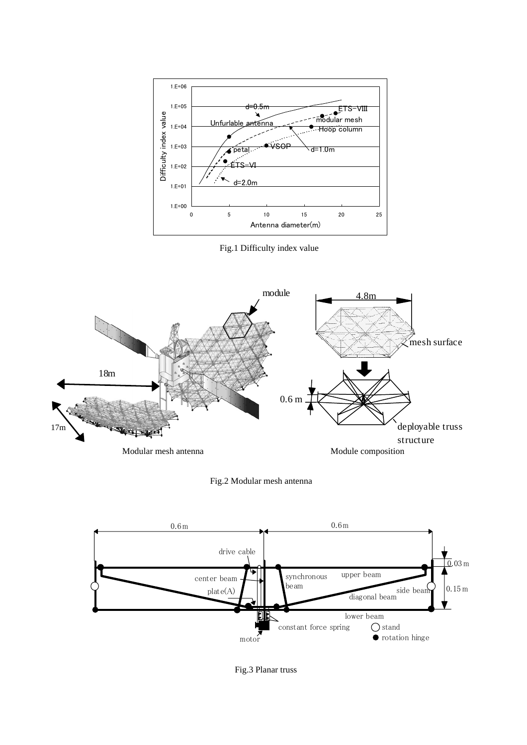

Fig.1 Difficulty index value







Fig.3 Planar truss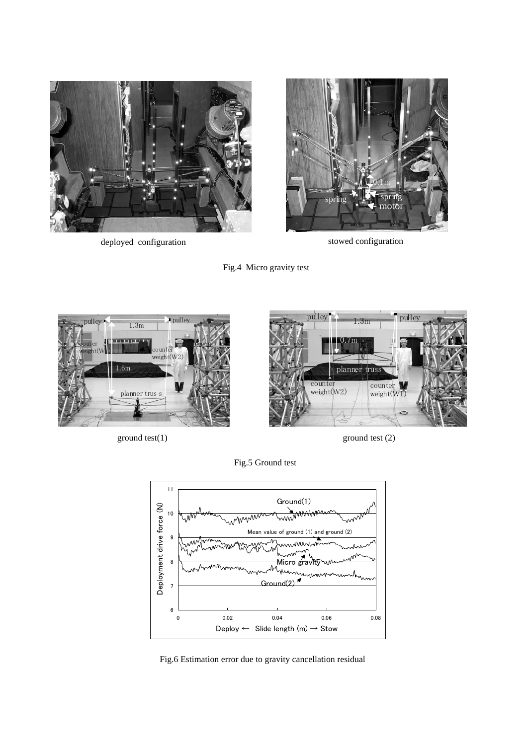

deployed configuration stowed configuration









Fig.5 Ground test



Fig.6 Estimation error due to gravity cancellation residual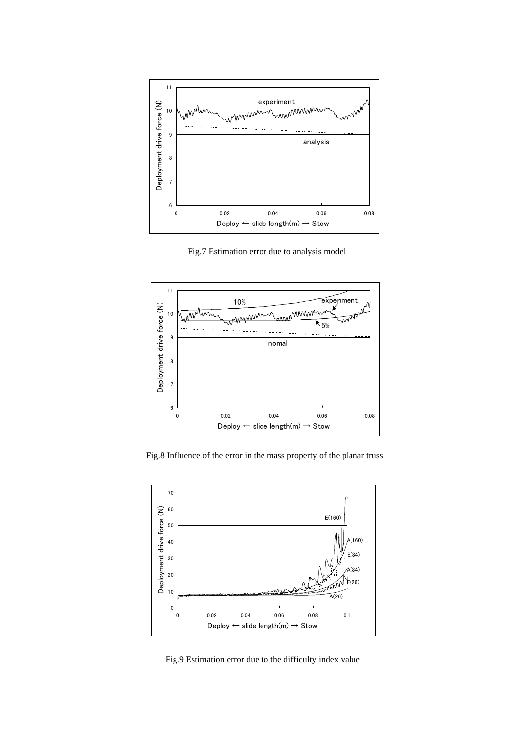

Fig.7 Estimation error due to analysis model



Fig.8 Influence of the error in the mass property of the planar truss



Fig.9 Estimation error due to the difficulty index value